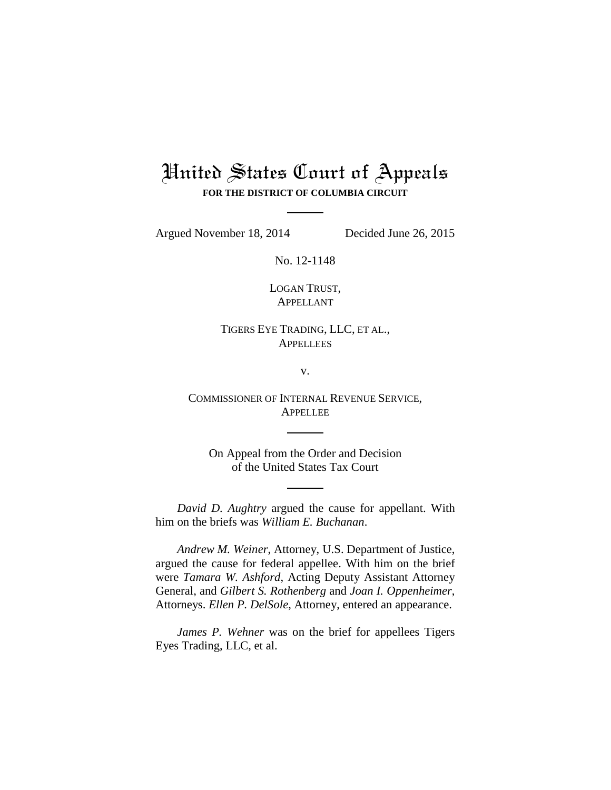## United States Court of Appeals

**FOR THE DISTRICT OF COLUMBIA CIRCUIT**

Argued November 18, 2014 Decided June 26, 2015

No. 12-1148

LOGAN TRUST, APPELLANT

TIGERS EYE TRADING, LLC, ET AL., **APPELLEES** 

v.

COMMISSIONER OF INTERNAL REVENUE SERVICE, APPELLEE

On Appeal from the Order and Decision of the United States Tax Court

*David D. Aughtry* argued the cause for appellant. With him on the briefs was *William E. Buchanan*.

*Andrew M. Weiner*, Attorney, U.S. Department of Justice, argued the cause for federal appellee. With him on the brief were *Tamara W. Ashford*, Acting Deputy Assistant Attorney General, and *Gilbert S. Rothenberg* and *Joan I. Oppenheimer*, Attorneys. *Ellen P. DelSole*, Attorney, entered an appearance.

*James P. Wehner* was on the brief for appellees Tigers Eyes Trading, LLC, et al.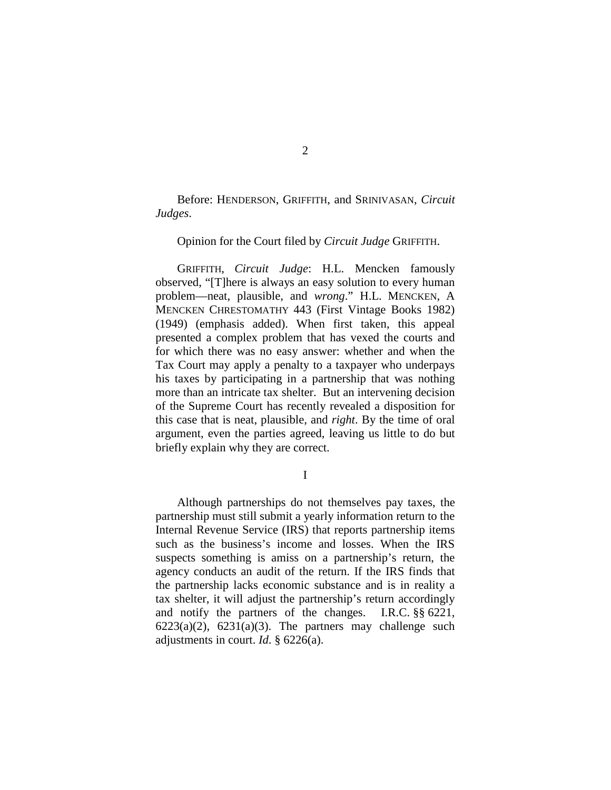Before: HENDERSON, GRIFFITH, and SRINIVASAN, *Circuit Judges*.

## Opinion for the Court filed by *Circuit Judge* GRIFFITH.

GRIFFITH, *Circuit Judge*: H.L. Mencken famously observed, "[T]here is always an easy solution to every human problem—neat, plausible, and *wrong*." H.L. MENCKEN, A MENCKEN CHRESTOMATHY 443 (First Vintage Books 1982) (1949) (emphasis added). When first taken, this appeal presented a complex problem that has vexed the courts and for which there was no easy answer: whether and when the Tax Court may apply a penalty to a taxpayer who underpays his taxes by participating in a partnership that was nothing more than an intricate tax shelter. But an intervening decision of the Supreme Court has recently revealed a disposition for this case that is neat, plausible, and *right*. By the time of oral argument, even the parties agreed, leaving us little to do but briefly explain why they are correct.

I

Although partnerships do not themselves pay taxes, the partnership must still submit a yearly information return to the Internal Revenue Service (IRS) that reports partnership items such as the business's income and losses. When the IRS suspects something is amiss on a partnership's return, the agency conducts an audit of the return. If the IRS finds that the partnership lacks economic substance and is in reality a tax shelter, it will adjust the partnership's return accordingly and notify the partners of the changes. I.R.C. §§ 6221,  $6223(a)(2)$ ,  $6231(a)(3)$ . The partners may challenge such adjustments in court. *Id*. § 6226(a).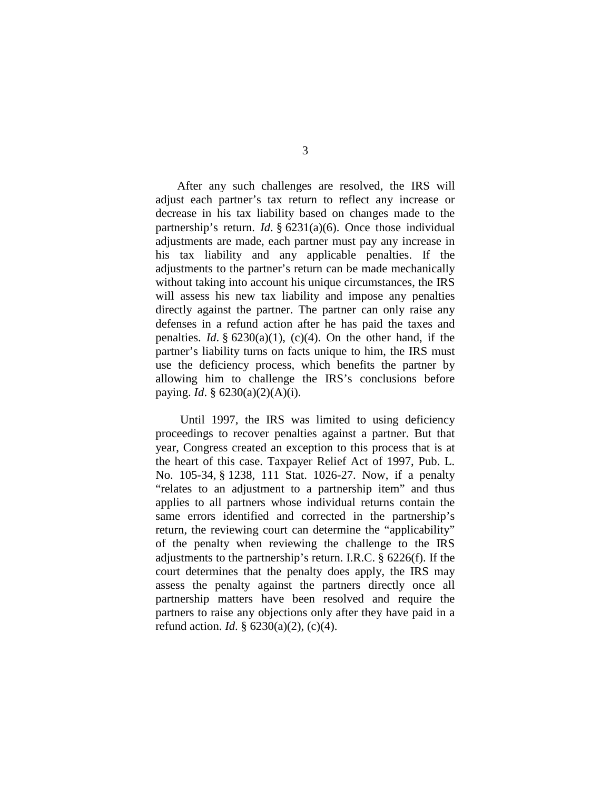After any such challenges are resolved, the IRS will adjust each partner's tax return to reflect any increase or decrease in his tax liability based on changes made to the partnership's return. *Id*. § 6231(a)(6). Once those individual adjustments are made, each partner must pay any increase in his tax liability and any applicable penalties. If the adjustments to the partner's return can be made mechanically without taking into account his unique circumstances, the IRS will assess his new tax liability and impose any penalties directly against the partner. The partner can only raise any defenses in a refund action after he has paid the taxes and penalties. *Id.*  $\S 6230(a)(1)$ , (c)(4). On the other hand, if the partner's liability turns on facts unique to him, the IRS must use the deficiency process, which benefits the partner by allowing him to challenge the IRS's conclusions before paying. *Id*. § 6230(a)(2)(A)(i).

Until 1997, the IRS was limited to using deficiency proceedings to recover penalties against a partner. But that year, Congress created an exception to this process that is at the heart of this case. Taxpayer Relief Act of 1997, Pub. L. No. 105-34, § 1238, 111 Stat. 1026-27. Now, if a penalty "relates to an adjustment to a partnership item" and thus applies to all partners whose individual returns contain the same errors identified and corrected in the partnership's return, the reviewing court can determine the "applicability" of the penalty when reviewing the challenge to the IRS adjustments to the partnership's return. I.R.C. § 6226(f). If the court determines that the penalty does apply, the IRS may assess the penalty against the partners directly once all partnership matters have been resolved and require the partners to raise any objections only after they have paid in a refund action. *Id*. § 6230(a)(2), (c)(4).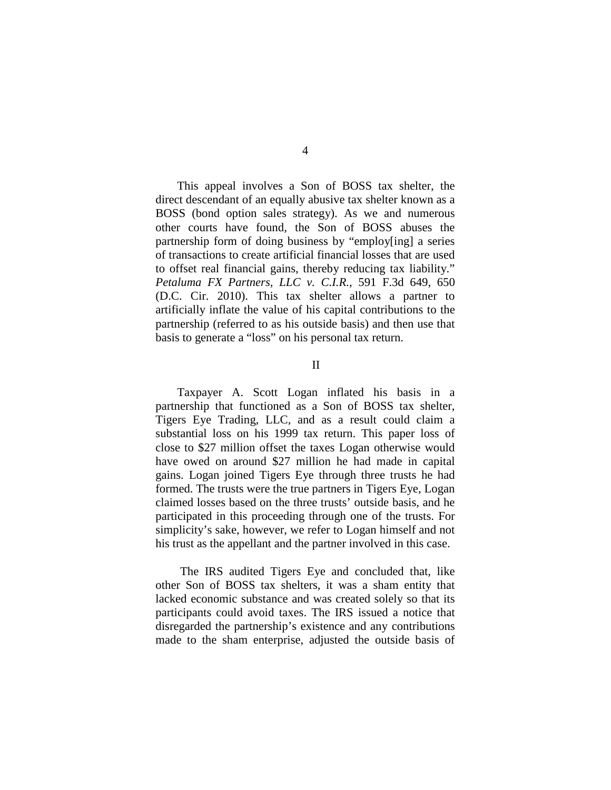This appeal involves a Son of BOSS tax shelter, the direct descendant of an equally abusive tax shelter known as a BOSS (bond option sales strategy). As we and numerous other courts have found, the Son of BOSS abuses the partnership form of doing business by "employ[ing] a series of transactions to create artificial financial losses that are used to offset real financial gains, thereby reducing tax liability." *Petaluma FX Partners, LLC v. C.I.R.*, 591 F.3d 649, 650 (D.C. Cir. 2010). This tax shelter allows a partner to artificially inflate the value of his capital contributions to the partnership (referred to as his outside basis) and then use that basis to generate a "loss" on his personal tax return.

## II

Taxpayer A. Scott Logan inflated his basis in a partnership that functioned as a Son of BOSS tax shelter, Tigers Eye Trading, LLC, and as a result could claim a substantial loss on his 1999 tax return. This paper loss of close to \$27 million offset the taxes Logan otherwise would have owed on around \$27 million he had made in capital gains. Logan joined Tigers Eye through three trusts he had formed. The trusts were the true partners in Tigers Eye, Logan claimed losses based on the three trusts' outside basis, and he participated in this proceeding through one of the trusts. For simplicity's sake, however, we refer to Logan himself and not his trust as the appellant and the partner involved in this case.

The IRS audited Tigers Eye and concluded that, like other Son of BOSS tax shelters, it was a sham entity that lacked economic substance and was created solely so that its participants could avoid taxes. The IRS issued a notice that disregarded the partnership's existence and any contributions made to the sham enterprise, adjusted the outside basis of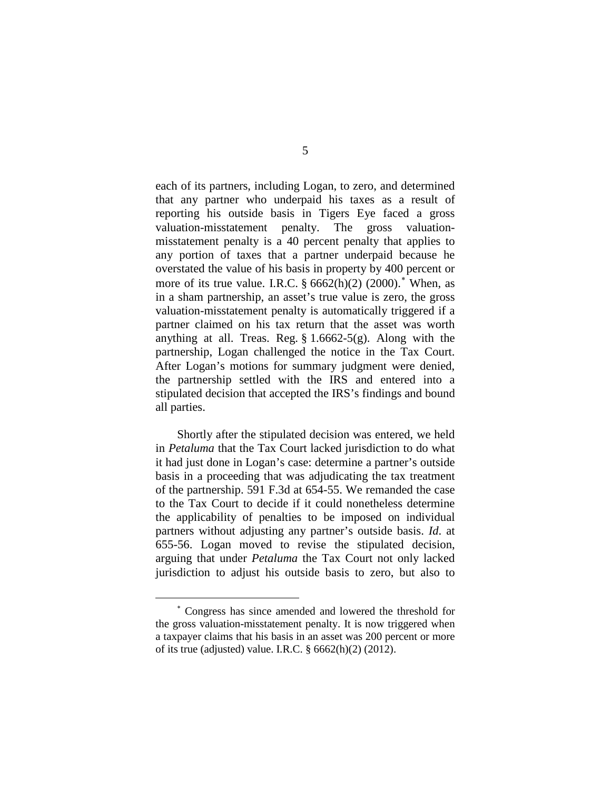each of its partners, including Logan, to zero, and determined that any partner who underpaid his taxes as a result of reporting his outside basis in Tigers Eye faced a gross valuation-misstatement penalty. The gross valuationmisstatement penalty is a 40 percent penalty that applies to any portion of taxes that a partner underpaid because he overstated the value of his basis in property by 400 percent or more of its true value. I.R.C.  $\S 6662(h)(2)$  (2000).<sup>\*</sup> When, as in a sham partnership, an asset's true value is zero, the gross valuation-misstatement penalty is automatically triggered if a partner claimed on his tax return that the asset was worth anything at all. Treas. Reg.  $\S 1.6662-5(g)$ . Along with the partnership, Logan challenged the notice in the Tax Court. After Logan's motions for summary judgment were denied, the partnership settled with the IRS and entered into a stipulated decision that accepted the IRS's findings and bound all parties.

Shortly after the stipulated decision was entered, we held in *Petaluma* that the Tax Court lacked jurisdiction to do what it had just done in Logan's case: determine a partner's outside basis in a proceeding that was adjudicating the tax treatment of the partnership. 591 F.3d at 654-55. We remanded the case to the Tax Court to decide if it could nonetheless determine the applicability of penalties to be imposed on individual partners without adjusting any partner's outside basis. *Id*. at 655-56. Logan moved to revise the stipulated decision, arguing that under *Petaluma* the Tax Court not only lacked jurisdiction to adjust his outside basis to zero, but also to

 $\overline{a}$ 

<sup>∗</sup> Congress has since amended and lowered the threshold for the gross valuation-misstatement penalty. It is now triggered when a taxpayer claims that his basis in an asset was 200 percent or more of its true (adjusted) value. I.R.C. § 6662(h)(2) (2012).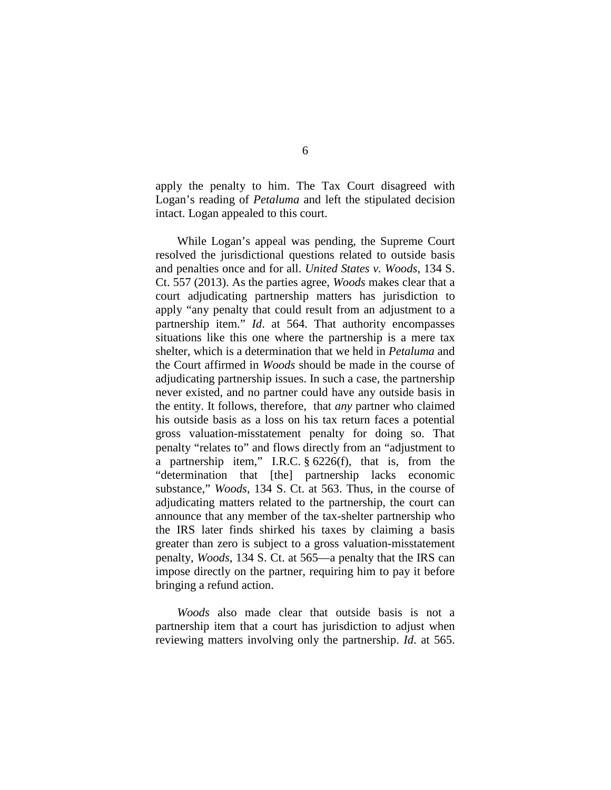apply the penalty to him. The Tax Court disagreed with Logan's reading of *Petaluma* and left the stipulated decision intact. Logan appealed to this court.

While Logan's appeal was pending, the Supreme Court resolved the jurisdictional questions related to outside basis and penalties once and for all. *United States v. Woods*, 134 S. Ct. 557 (2013). As the parties agree, *Woods* makes clear that a court adjudicating partnership matters has jurisdiction to apply "any penalty that could result from an adjustment to a partnership item." *Id*. at 564. That authority encompasses situations like this one where the partnership is a mere tax shelter, which is a determination that we held in *Petaluma* and the Court affirmed in *Woods* should be made in the course of adjudicating partnership issues. In such a case, the partnership never existed, and no partner could have any outside basis in the entity. It follows, therefore, that *any* partner who claimed his outside basis as a loss on his tax return faces a potential gross valuation-misstatement penalty for doing so. That penalty "relates to" and flows directly from an "adjustment to a partnership item," I.R.C. § 6226(f), that is, from the "determination that [the] partnership lacks economic substance," *Woods*, 134 S. Ct. at 563. Thus, in the course of adjudicating matters related to the partnership, the court can announce that any member of the tax-shelter partnership who the IRS later finds shirked his taxes by claiming a basis greater than zero is subject to a gross valuation-misstatement penalty, *Woods*, 134 S. Ct. at 565—a penalty that the IRS can impose directly on the partner, requiring him to pay it before bringing a refund action.

*Woods* also made clear that outside basis is not a partnership item that a court has jurisdiction to adjust when reviewing matters involving only the partnership. *Id*. at 565.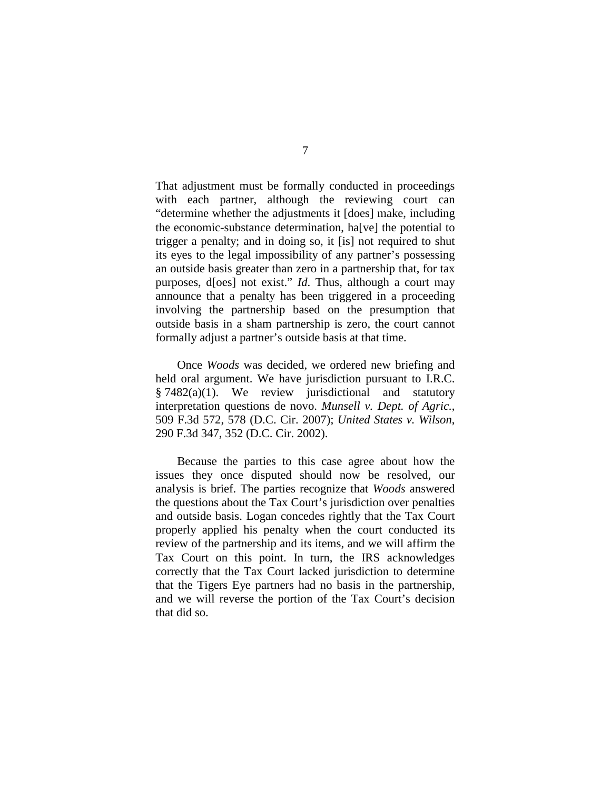That adjustment must be formally conducted in proceedings with each partner, although the reviewing court can "determine whether the adjustments it [does] make, including the economic-substance determination, ha[ve] the potential to trigger a penalty; and in doing so, it [is] not required to shut its eyes to the legal impossibility of any partner's possessing an outside basis greater than zero in a partnership that, for tax purposes, d[oes] not exist." *Id*. Thus, although a court may announce that a penalty has been triggered in a proceeding involving the partnership based on the presumption that outside basis in a sham partnership is zero, the court cannot formally adjust a partner's outside basis at that time.

Once *Woods* was decided, we ordered new briefing and held oral argument. We have jurisdiction pursuant to I.R.C. § 7482(a)(1). We review jurisdictional and statutory interpretation questions de novo. *Munsell v. Dept. of Agric.*, 509 F.3d 572, 578 (D.C. Cir. 2007); *United States v. Wilson*, 290 F.3d 347, 352 (D.C. Cir. 2002).

Because the parties to this case agree about how the issues they once disputed should now be resolved, our analysis is brief. The parties recognize that *Woods* answered the questions about the Tax Court's jurisdiction over penalties and outside basis. Logan concedes rightly that the Tax Court properly applied his penalty when the court conducted its review of the partnership and its items, and we will affirm the Tax Court on this point. In turn, the IRS acknowledges correctly that the Tax Court lacked jurisdiction to determine that the Tigers Eye partners had no basis in the partnership, and we will reverse the portion of the Tax Court's decision that did so.